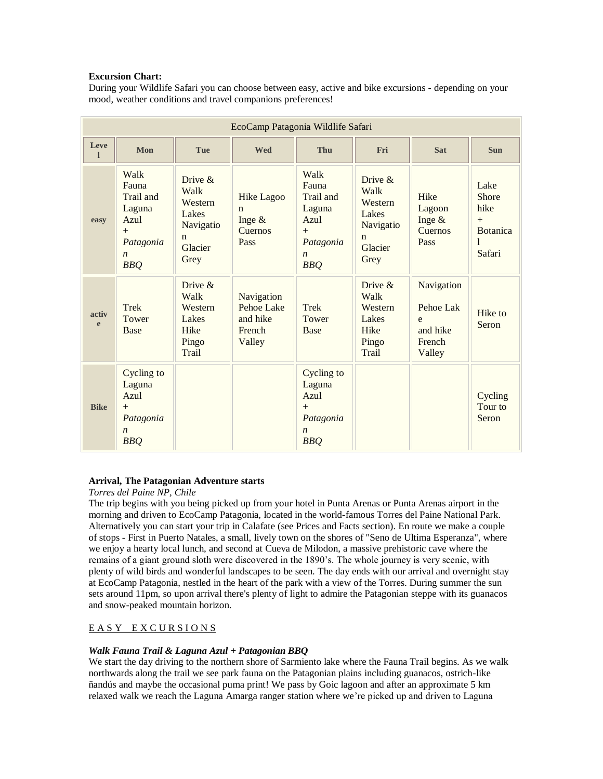## **Excursion Chart:**

During your Wildlife Safari you can choose between easy, active and bike excursions - depending on your mood, weather conditions and travel companions preferences!

| EcoCamp Patagonia Wildlife Safari |                                                                                                    |                                                                                       |                                                                  |                                                                                                    |                                                                                    |                                                              |                                                                       |
|-----------------------------------|----------------------------------------------------------------------------------------------------|---------------------------------------------------------------------------------------|------------------------------------------------------------------|----------------------------------------------------------------------------------------------------|------------------------------------------------------------------------------------|--------------------------------------------------------------|-----------------------------------------------------------------------|
| Leve<br>п                         | Mon                                                                                                | <b>Tue</b>                                                                            | <b>Wed</b>                                                       | <b>Thu</b>                                                                                         | Fri                                                                                | <b>Sat</b>                                                   | <b>Sun</b>                                                            |
| easy                              | Walk<br>Fauna<br>Trail and<br>Laguna<br>Azul<br>$+$<br>Patagonia<br>$\boldsymbol{n}$<br><b>BBQ</b> | Drive $\&$<br>Walk<br>Western<br>Lakes<br>Navigatio<br>$\mathbf n$<br>Glacier<br>Grey | <b>Hike Lagoo</b><br>$\mathbf n$<br>Inge $\&$<br>Cuernos<br>Pass | Walk<br>Fauna<br>Trail and<br>Laguna<br>Azul<br>$+$<br>Patagonia<br>$\boldsymbol{n}$<br><b>BBQ</b> | Drive &<br>Walk<br>Western<br>Lakes<br>Navigatio<br>$\mathbf n$<br>Glacier<br>Grey | Hike<br>Lagoon<br>Inge $&$<br>Cuernos<br>Pass                | Lake<br><b>Shore</b><br>hike<br>$+$<br><b>Botanica</b><br>1<br>Safari |
| activ<br>e                        | Trek<br>Tower<br><b>Base</b>                                                                       | Drive $\&$<br>Walk<br>Western<br>Lakes<br>Hike<br>Pingo<br>Trail                      | Navigation<br><b>Pehoe Lake</b><br>and hike<br>French<br>Valley  | <b>Trek</b><br>Tower<br><b>Base</b>                                                                | Drive $\&$<br>Walk<br>Western<br>Lakes<br>Hike<br>Pingo<br>Trail                   | Navigation<br>Pehoe Lak<br>e<br>and hike<br>French<br>Valley | Hike to<br>Seron                                                      |
| <b>Bike</b>                       | Cycling to<br>Laguna<br>Azul<br>$+$<br>Patagonia<br>$\boldsymbol{n}$<br><b>BBQ</b>                 |                                                                                       |                                                                  | Cycling to<br>Laguna<br>Azul<br>$+$<br>Patagonia<br>$\boldsymbol{n}$<br><b>BBQ</b>                 |                                                                                    |                                                              | Cycling<br>Tour to<br>Seron                                           |

# **Arrival, The Patagonian Adventure starts**

## *Torres del Paine NP, Chile*

The trip begins with you being picked up from your hotel in Punta Arenas or Punta Arenas airport in the morning and driven to EcoCamp Patagonia, located in the world-famous Torres del Paine National Park. Alternatively you can start your trip in Calafate (see Prices and Facts section). En route we make a couple of stops - First in Puerto Natales, a small, lively town on the shores of "Seno de Ultima Esperanza", where we enjoy a hearty local lunch, and second at Cueva de Milodon, a massive prehistoric cave where the remains of a giant ground sloth were discovered in the 1890's. The whole journey is very scenic, with plenty of wild birds and wonderful landscapes to be seen. The day ends with our arrival and overnight stay at EcoCamp Patagonia, nestled in the heart of the park with a view of the Torres. During summer the sun sets around 11pm, so upon arrival there's plenty of light to admire the Patagonian steppe with its guanacos and snow-peaked mountain horizon.

# EASY EXCURSIONS

# *Walk Fauna Trail & Laguna Azul + Patagonian BBQ*

We start the day driving to the northern shore of Sarmiento lake where the Fauna Trail begins. As we walk northwards along the trail we see park fauna on the Patagonian plains including guanacos, ostrich-like ñandús and maybe the occasional puma print! We pass by Goic lagoon and after an approximate 5 km relaxed walk we reach the Laguna Amarga ranger station where we're picked up and driven to Laguna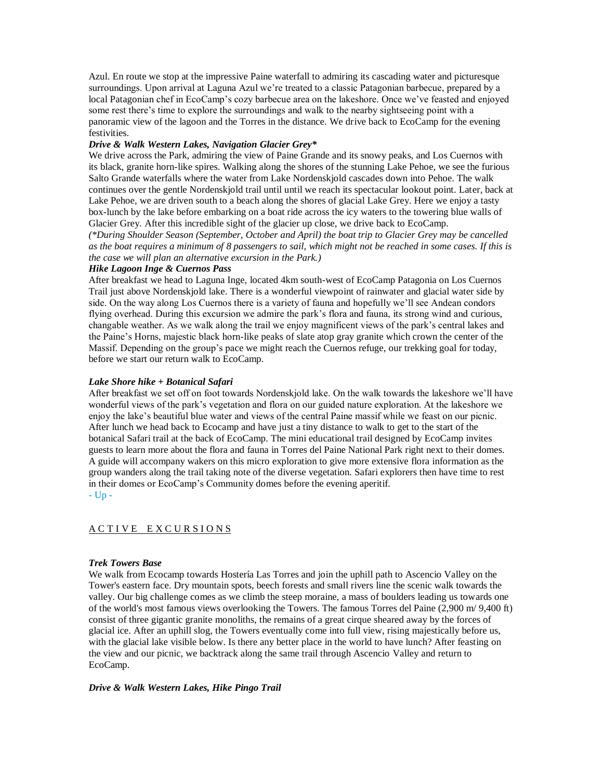Azul. En route we stop at the impressive Paine waterfall to admiring its cascading water and picturesque surroundings. Upon arrival at Laguna Azul we're treated to a classic Patagonian barbecue, prepared by a local Patagonian chef in EcoCamp's cozy barbecue area on the lakeshore. Once we've feasted and enjoyed some rest there's time to explore the surroundings and walk to the nearby sightseeing point with a panoramic view of the lagoon and the Torres in the distance. We drive back to EcoCamp for the evening festivities.

### *Drive & Walk Western Lakes, Navigation Glacier Grey\**

We drive across the Park, admiring the view of Paine Grande and its snowy peaks, and Los Cuernos with its black, granite horn-like spires. Walking along the shores of the stunning Lake Pehoe, we see the furious Salto Grande waterfalls where the water from Lake Nordenskjold cascades down into Pehoe. The walk continues over the gentle Nordenskjold trail until until we reach its spectacular lookout point. Later, back at Lake Pehoe, we are driven south to a beach along the shores of glacial Lake Grey. Here we enjoy a tasty box-lunch by the lake before embarking on a boat ride across the icy waters to the towering blue walls of Glacier Grey. After this incredible sight of the glacier up close, we drive back to EcoCamp.

*(\*During Shoulder Season (September, October and April) the boat trip to Glacier Grey may be cancelled as the boat requires a minimum of 8 passengers to sail, which might not be reached in some cases. If this is the case we will plan an alternative excursion in the Park.)*

## *Hike Lagoon Inge & Cuernos Pass*

After breakfast we head to Laguna Inge, located 4km south-west of EcoCamp Patagonia on Los Cuernos Trail just above Nordenskjold lake. There is a wonderful viewpoint of rainwater and glacial water side by side. On the way along Los Cuernos there is a variety of fauna and hopefully we'll see Andean condors flying overhead. During this excursion we admire the park's flora and fauna, its strong wind and curious, changable weather. As we walk along the trail we enjoy magnificent views of the park's central lakes and the Paine's Horns, majestic black horn-like peaks of slate atop gray granite which crown the center of the Massif. Depending on the group's pace we might reach the Cuernos refuge, our trekking goal for today, before we start our return walk to EcoCamp.

### *Lake Shore hike + Botanical Safari*

After breakfast we set off on foot towards Nordenskjold lake. On the walk towards the lakeshore we'll have wonderful views of the park's vegetation and flora on our guided nature exploration. At the lakeshore we enjoy the lake's beautiful blue water and views of the central Paine massif while we feast on our picnic. After lunch we head back to Ecocamp and have just a tiny distance to walk to get to the start of the botanical Safari trail at the back of EcoCamp. The mini educational trail designed by EcoCamp invites guests to learn more about the flora and fauna in Torres del Paine National Park right next to their domes. A guide will accompany wakers on this micro exploration to give more extensive flora information as the group wanders along the trail taking note of the diverse vegetation. Safari explorers then have time to rest in their domes or EcoCamp's Community domes before the evening aperitif. - [Up -](https://www.cascada.travel/Tour/EcoCamp-Patagonia-Wildlife-Safari#Excursion_chart)

## A C T I V E E X C U R S I O N S

#### *Trek Towers Base*

We walk from Ecocamp towards Hostería Las Torres and join the uphill path to Ascencio Valley on the Tower's eastern face. Dry mountain spots, beech forests and small rivers line the scenic walk towards the valley. Our big challenge comes as we climb the steep moraine, a mass of boulders leading us towards one of the world's most famous views overlooking the Towers. The famous Torres del Paine (2,900 m/ 9,400 ft) consist of three gigantic granite monoliths, the remains of a great cirque sheared away by the forces of glacial ice. After an uphill slog, the Towers eventually come into full view, rising majestically before us, with the glacial lake visible below. Is there any better place in the world to have lunch? After feasting on the view and our picnic, we backtrack along the same trail through Ascencio Valley and return to EcoCamp.

#### *Drive & Walk Western Lakes, Hike Pingo Trail*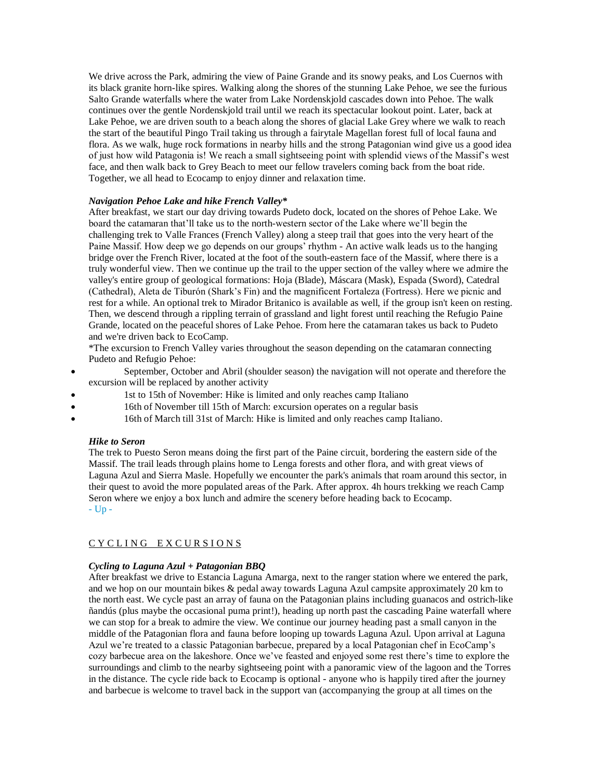We drive across the Park, admiring the view of Paine Grande and its snowy peaks, and Los Cuernos with its black granite horn-like spires. Walking along the shores of the stunning Lake Pehoe, we see the furious Salto Grande waterfalls where the water from Lake Nordenskjold cascades down into Pehoe. The walk continues over the gentle Nordenskjold trail until we reach its spectacular lookout point. Later, back at Lake Pehoe, we are driven south to a beach along the shores of glacial Lake Grey where we walk to reach the start of the beautiful Pingo Trail taking us through a fairytale Magellan forest full of local fauna and flora. As we walk, huge rock formations in nearby hills and the strong Patagonian wind give us a good idea of just how wild Patagonia is! We reach a small sightseeing point with splendid views of the Massif's west face, and then walk back to Grey Beach to meet our fellow travelers coming back from the boat ride. Together, we all head to Ecocamp to enjoy dinner and relaxation time.

## *Navigation Pehoe Lake and hike French Valley\**

After breakfast, we start our day driving towards Pudeto dock, located on the shores of Pehoe Lake. We board the catamaran that'll take us to the north-western sector of the Lake where we'll begin the challenging trek to Valle Frances (French Valley) along a steep trail that goes into the very heart of the Paine Massif. How deep we go depends on our groups' rhythm - An active walk leads us to the hanging bridge over the French River, located at the foot of the south-eastern face of the Massif, where there is a truly wonderful view. Then we continue up the trail to the upper section of the valley where we admire the valley's entire group of geological formations: Hoja (Blade), Máscara (Mask), Espada (Sword), Catedral (Cathedral), Aleta de Tiburón (Shark's Fin) and the magnificent Fortaleza (Fortress). Here we picnic and rest for a while. An optional trek to Mirador Britanico is available as well, if the group isn't keen on resting. Then, we descend through a rippling terrain of grassland and light forest until reaching the Refugio Paine Grande, located on the peaceful shores of Lake Pehoe. From here the catamaran takes us back to Pudeto and we're driven back to EcoCamp.

\*The excursion to French Valley varies throughout the season depending on the catamaran connecting Pudeto and Refugio Pehoe:

- September, October and Abril (shoulder season) the navigation will not operate and therefore the excursion will be replaced by another activity
- 1st to 15th of November: Hike is limited and only reaches camp Italiano
- 16th of November till 15th of March: excursion operates on a regular basis
- 16th of March till 31st of March: Hike is limited and only reaches camp Italiano.

## *Hike to Seron*

The trek to Puesto Seron means doing the first part of the Paine circuit, bordering the eastern side of the Massif. The trail leads through plains home to Lenga forests and other flora, and with great views of Laguna Azul and Sierra Masle. Hopefully we encounter the park's animals that roam around this sector, in their quest to avoid the more populated areas of the Park. After approx. 4h hours trekking we reach Camp Seron where we enjoy a box lunch and admire the scenery before heading back to Ecocamp. - [Up -](https://www.cascada.travel/Tour/EcoCamp-Patagonia-Wildlife-Safari#Excursion_chart)

# CY CLING EXCURSIONS

## *Cycling to Laguna Azul + Patagonian BBQ*

After breakfast we drive to Estancia Laguna Amarga, next to the ranger station where we entered the park, and we hop on our mountain bikes & pedal away towards Laguna Azul campsite approximately 20 km to the north east. We cycle past an array of fauna on the Patagonian plains including guanacos and ostrich-like ñandús (plus maybe the occasional puma print!), heading up north past the cascading Paine waterfall where we can stop for a break to admire the view. We continue our journey heading past a small canyon in the middle of the Patagonian flora and fauna before looping up towards Laguna Azul. Upon arrival at Laguna Azul we're treated to a classic Patagonian barbecue, prepared by a local Patagonian chef in EcoCamp's cozy barbecue area on the lakeshore. Once we've feasted and enjoyed some rest there's time to explore the surroundings and climb to the nearby sightseeing point with a panoramic view of the lagoon and the Torres in the distance. The cycle ride back to Ecocamp is optional - anyone who is happily tired after the journey and barbecue is welcome to travel back in the support van (accompanying the group at all times on the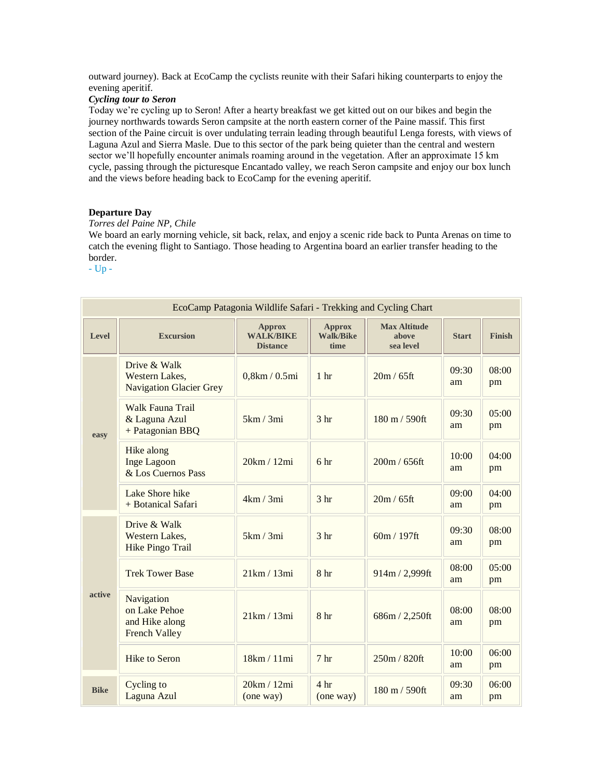outward journey). Back at EcoCamp the cyclists reunite with their Safari hiking counterparts to enjoy the evening aperitif.

# *Cycling tour to Seron*

Today we're cycling up to Seron! After a hearty breakfast we get kitted out on our bikes and begin the journey northwards towards Seron campsite at the north eastern corner of the Paine massif. This first section of the Paine circuit is over undulating terrain leading through beautiful Lenga forests, with views of Laguna Azul and Sierra Masle. Due to this sector of the park being quieter than the central and western sector we'll hopefully encounter animals roaming around in the vegetation. After an approximate 15 km cycle, passing through the picturesque Encantado valley, we reach Seron campsite and enjoy our box lunch and the views before heading back to EcoCamp for the evening aperitif.

## **Departure Day**

## *Torres del Paine NP, Chile*

We board an early morning vehicle, sit back, relax, and enjoy a scenic ride back to Punta Arenas on time to catch the evening flight to Santiago. Those heading to Argentina board an earlier transfer heading to the border.

- [Up -](https://www.cascada.travel/Tour/EcoCamp-Patagonia-Wildlife-Safari#Excursion_chart)

| EcoCamp Patagonia Wildlife Safari - Trekking and Cycling Chart |                                                                       |                                                      |                                           |                                           |              |               |  |
|----------------------------------------------------------------|-----------------------------------------------------------------------|------------------------------------------------------|-------------------------------------------|-------------------------------------------|--------------|---------------|--|
| Level                                                          | <b>Excursion</b>                                                      | <b>Approx</b><br><b>WALK/BIKE</b><br><b>Distance</b> | <b>Approx</b><br><b>Walk/Bike</b><br>time | <b>Max Altitude</b><br>above<br>sea level | <b>Start</b> | <b>Finish</b> |  |
| easy                                                           | Drive & Walk<br>Western Lakes,<br><b>Navigation Glacier Grey</b>      | 0,8km/0.5mi                                          | 1 <sub>hr</sub>                           | 20m / 65ft                                | 09:30<br>am  | 08:00<br>pm   |  |
|                                                                | Walk Fauna Trail<br>& Laguna Azul<br>+ Patagonian BBQ                 | 5km/3mi                                              | 3 <sub>hr</sub>                           | 180 m / 590ft                             | 09:30<br>am  | 0.5:00<br>pm  |  |
|                                                                | Hike along<br><b>Inge Lagoon</b><br>& Los Cuernos Pass                | 20km / 12mi                                          | 6 <sup>hr</sup>                           | 200m / 656ft                              | 10:00<br>am  | 04:00<br>pm   |  |
|                                                                | Lake Shore hike<br>+ Botanical Safari                                 | 4km/3mi                                              | 3 <sub>hr</sub>                           | 20m / 65ft                                | 09:00<br>am  | 04:00<br>pm   |  |
| active                                                         | Drive & Walk<br>Western Lakes,<br><b>Hike Pingo Trail</b>             | 5km/3mi                                              | 3 <sub>hr</sub>                           | $60m / 197$ ft                            | 09:30<br>am  | 08:00<br>pm   |  |
|                                                                | <b>Trek Tower Base</b>                                                | 21km/13mi                                            | 8 <sub>hr</sub>                           | 914m / 2,999ft                            | 08:00<br>am  | 05:00<br>pm   |  |
|                                                                | Navigation<br>on Lake Pehoe<br>and Hike along<br><b>French Valley</b> | 21km/13mi                                            | 8 <sub>hr</sub>                           | 686m / 2,250ft                            | 08:00<br>am  | 08:00<br>pm   |  |
|                                                                | <b>Hike to Seron</b>                                                  | 18km / 11mi                                          | 7 <sub>hr</sub>                           | 250m / 820ft                              | 10:00<br>am  | 06:00<br>pm   |  |
| <b>Bike</b>                                                    | Cycling to<br>Laguna Azul                                             | 20km / 12mi<br>(one way)                             | 4 <sup>hr</sup><br>(one way)              | 180 m / 590ft                             | 09:30<br>am  | 06:00<br>pm   |  |